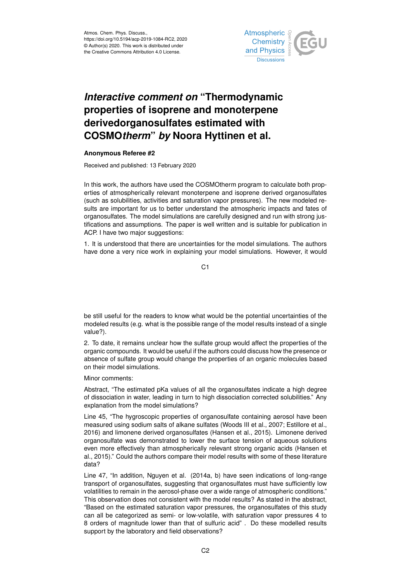

## *Interactive comment on* **"Thermodynamic properties of isoprene and monoterpene derivedorganosulfates estimated with COSMO***therm***"** *by* **Noora Hyttinen et al.**

## **Anonymous Referee #2**

Received and published: 13 February 2020

In this work, the authors have used the COSMOtherm program to calculate both properties of atmospherically relevant monoterpene and isoprene derived organosulfates (such as solubilities, activities and saturation vapor pressures). The new modeled results are important for us to better understand the atmospheric impacts and fates of organosulfates. The model simulations are carefully designed and run with strong justifications and assumptions. The paper is well written and is suitable for publication in ACP. I have two major suggestions:

1. It is understood that there are uncertainties for the model simulations. The authors have done a very nice work in explaining your model simulations. However, it would

C1

be still useful for the readers to know what would be the potential uncertainties of the modeled results (e.g. what is the possible range of the model results instead of a single value?).

2. To date, it remains unclear how the sulfate group would affect the properties of the organic compounds. It would be useful if the authors could discuss how the presence or absence of sulfate group would change the properties of an organic molecules based on their model simulations.

Minor comments:

Abstract, "The estimated pKa values of all the organosulfates indicate a high degree of dissociation in water, leading in turn to high dissociation corrected solubilities." Any explanation from the model simulations?

Line 45, "The hygroscopic properties of organosulfate containing aerosol have been measured using sodium salts of alkane sulfates (Woods III et al., 2007; Estillore et al., 2016) and limonene derived organosulfates (Hansen et al., 2015). Limonene derived organosulfate was demonstrated to lower the surface tension of aqueous solutions even more effectively than atmospherically relevant strong organic acids (Hansen et al., 2015)." Could the authors compare their model results with some of these literature data?

Line 47, "In addition, Nguyen et al. (2014a, b) have seen indications of long-range transport of organosulfates, suggesting that organosulfates must have sufficiently low volatilities to remain in the aerosol-phase over a wide range of atmospheric conditions." This observation does not consistent with the model results? As stated in the abstract, "Based on the estimated saturation vapor pressures, the organosulfates of this study can all be categorized as semi- or low-volatile, with saturation vapor pressures 4 to 8 orders of magnitude lower than that of sulfuric acid" . Do these modelled results support by the laboratory and field observations?